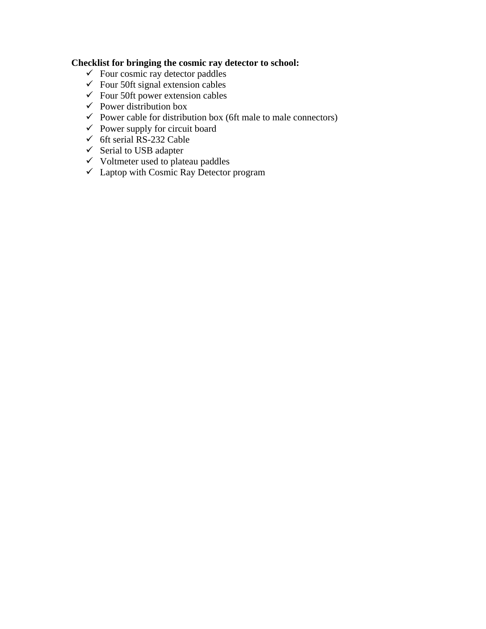# **Checklist for bringing the cosmic ray detector to school:**

- $\checkmark$  Four cosmic ray detector paddles
- $\checkmark$  Four 50ft signal extension cables
- $\checkmark$  Four 50ft power extension cables
- $\checkmark$  Power distribution box
- $\checkmark$  Power cable for distribution box (6ft male to male connectors)
- $\checkmark$  Power supply for circuit board
- $\checkmark$  6ft serial RS-232 Cable
- $\checkmark$  Serial to USB adapter
- $\checkmark$  Voltmeter used to plateau paddles
- $\overrightarrow{v}$  Laptop with Cosmic Ray Detector program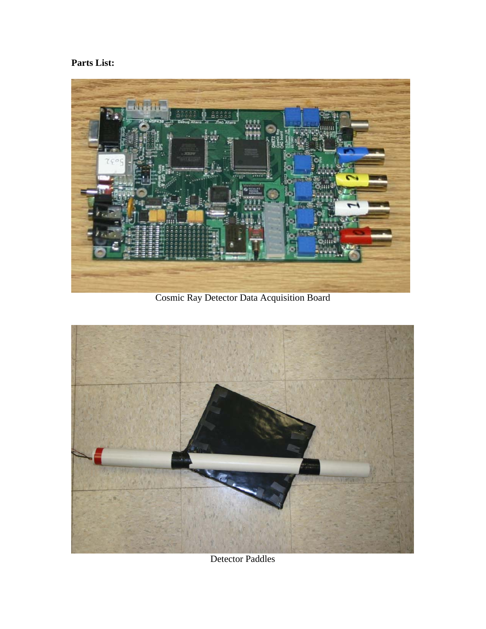# **Parts List:**



Cosmic Ray Detector Data Acquisition Board



Detector Paddles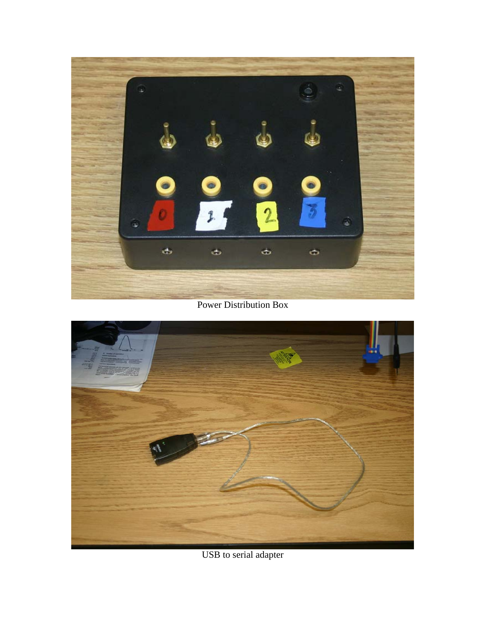

Power Distribution Box



USB to serial adapter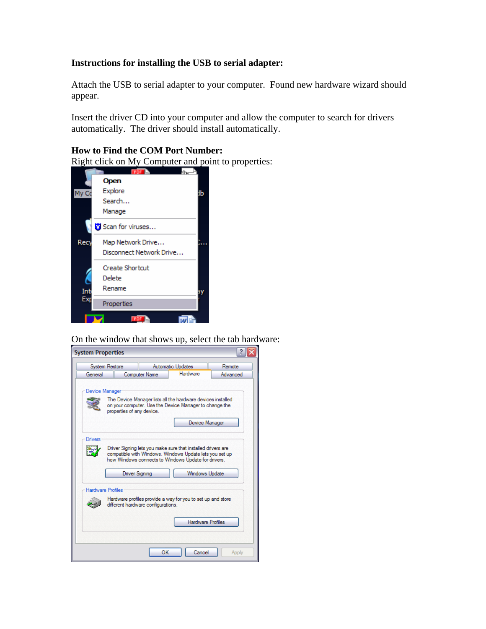### **Instructions for installing the USB to serial adapter:**

Attach the USB to serial adapter to your computer. Found new hardware wizard should appear.

Insert the driver CD into your computer and allow the computer to search for drivers automatically. The driver should install automatically.

#### **How to Find the COM Port Number:**

Right click on My Computer and point to properties:



On the window that shows up, select the tab hardware:

| <b>System Properties</b>                                                                                                                                                                                                                                                                                                                                                                          |                       |                                                                                                                                                    |  |          |          |  |
|---------------------------------------------------------------------------------------------------------------------------------------------------------------------------------------------------------------------------------------------------------------------------------------------------------------------------------------------------------------------------------------------------|-----------------------|----------------------------------------------------------------------------------------------------------------------------------------------------|--|----------|----------|--|
|                                                                                                                                                                                                                                                                                                                                                                                                   |                       | Remote<br><b>System Restore</b><br><b>Automatic Updates</b>                                                                                        |  |          |          |  |
|                                                                                                                                                                                                                                                                                                                                                                                                   | General               | <b>Computer Name</b>                                                                                                                               |  | Hardware | Advanced |  |
|                                                                                                                                                                                                                                                                                                                                                                                                   | <b>Device Manager</b> | The Device Manager lists all the hardware devices installed<br>on your computer. Use the Device Manager to change the<br>properties of any device. |  |          |          |  |
|                                                                                                                                                                                                                                                                                                                                                                                                   |                       | Device Manager                                                                                                                                     |  |          |          |  |
| Drivers<br>Driver Signing lets you make sure that installed drivers are<br>compatible with Windows. Windows Update lets you set up<br>how Windows connects to Windows Update for drivers.<br><b>Driver Signing</b><br>Windows Update<br><b>Hardware Profiles</b><br>Hardware profiles provide a way for you to set up and store<br>different hardware configurations.<br><b>Hardware Profiles</b> |                       |                                                                                                                                                    |  |          |          |  |
|                                                                                                                                                                                                                                                                                                                                                                                                   |                       |                                                                                                                                                    |  |          |          |  |
|                                                                                                                                                                                                                                                                                                                                                                                                   | OK<br>Cancel<br>Apply |                                                                                                                                                    |  |          |          |  |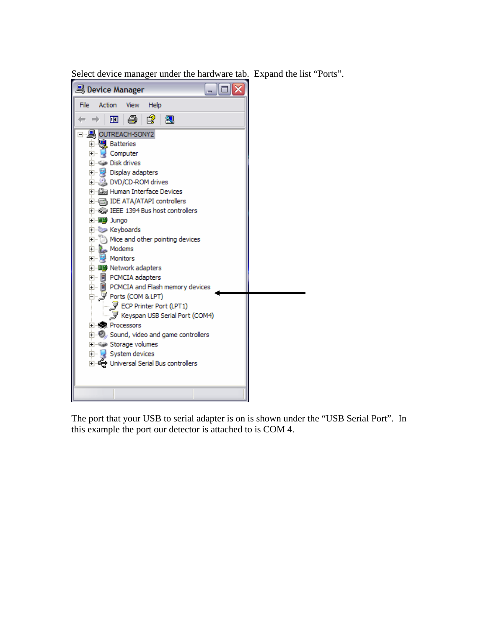Select device manager under the hardware tab. Expand the list "Ports".



The port that your USB to serial adapter is on is shown under the "USB Serial Port". In this example the port our detector is attached to is COM 4.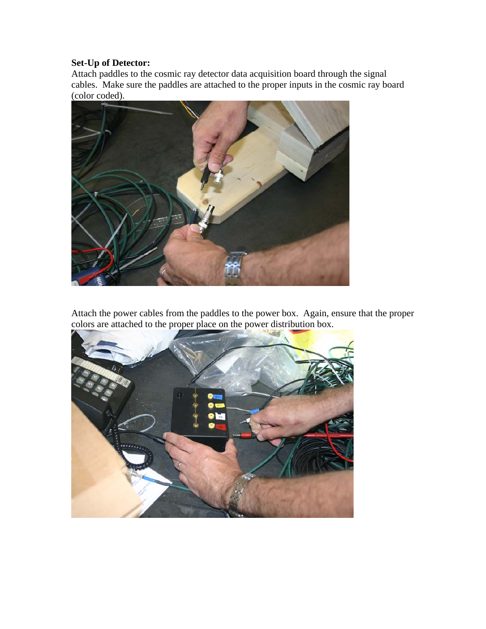# **Set-Up of Detector:**

Attach paddles to the cosmic ray detector data acquisition board through the signal cables. Make sure the paddles are attached to the proper inputs in the cosmic ray board (color coded).



Attach the power cables from the paddles to the power box. Again, ensure that the proper colors are attached to the proper place on the power distribution box.

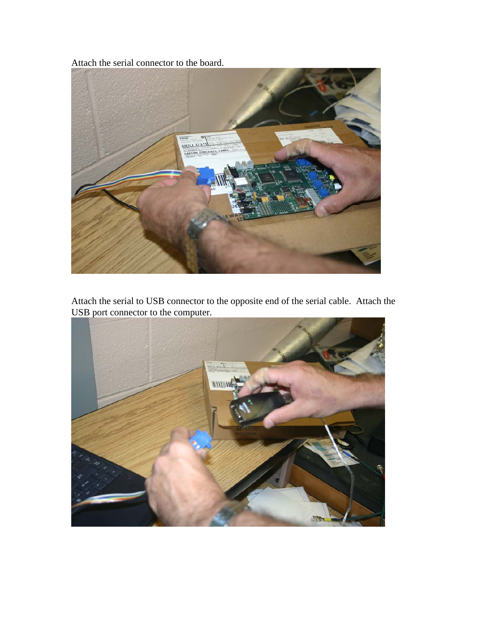Attach the serial connector to the board.



Attach the serial to USB connector to the opposite end of the serial cable. Attach the USB port connector to the computer.